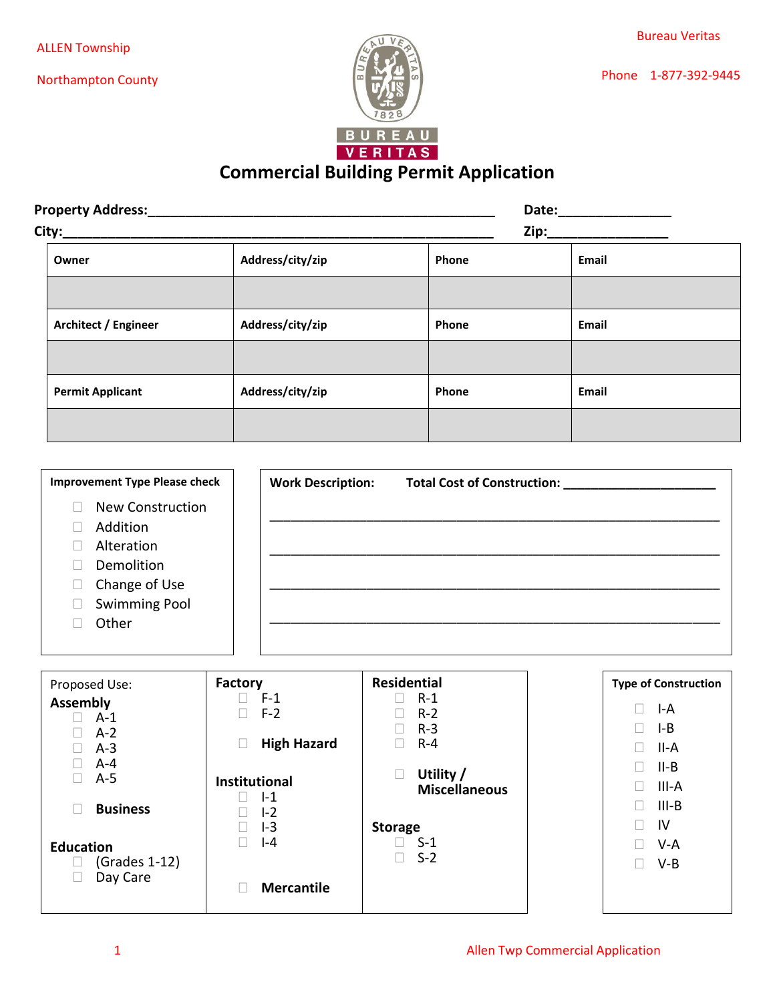Northampton County





## **Commercial Building Permit Application**

| <b>Property Address:</b> |                  | Date: |       |
|--------------------------|------------------|-------|-------|
|                          | Zip:             |       |       |
| Owner                    | Address/city/zip | Phone | Email |
|                          |                  |       |       |
| Architect / Engineer     | Address/city/zip | Phone | Email |
|                          |                  |       |       |
| <b>Permit Applicant</b>  | Address/city/zip | Phone | Email |
|                          |                  |       |       |

| <b>Improvement Type Please check</b> |                         | <b>Work Description:</b> | <b>Total Cost of Construction:</b> |
|--------------------------------------|-------------------------|--------------------------|------------------------------------|
|                                      | <b>New Construction</b> |                          |                                    |
| Addition                             |                         |                          |                                    |
| Alteration                           |                         |                          |                                    |
| Demolition                           |                         |                          |                                    |
| Change of Use                        |                         |                          |                                    |
| <b>Swimming Pool</b>                 |                         |                          |                                    |
| Other                                |                         |                          |                                    |
|                                      |                         |                          |                                    |

| Proposed Use:                                         | Factory                                                 | <b>Residential</b>                           | <b>Type of Construction</b>                             |
|-------------------------------------------------------|---------------------------------------------------------|----------------------------------------------|---------------------------------------------------------|
| <b>Assembly</b><br>$A-1$<br>$A-2$<br>$A-3$<br>$A - 4$ | $F-1$<br>$F-2$<br><b>High Hazard</b>                    | $R-1$<br>П<br>$R-2$<br>$R-3$<br>L<br>$R - 4$ | Г<br>I-A<br>$I - B$<br>Ш<br>II-A<br>$\Box$<br>II-B<br>Ш |
| $A-5$                                                 | <b>Institutional</b><br>$-1$<br>$I - 2$<br>$I-3$<br>I-4 | Utility /<br>L<br><b>Miscellaneous</b>       | III-A<br>Н                                              |
| <b>Business</b><br>Г                                  |                                                         |                                              | $III-B$<br>П<br>IV<br>П                                 |
| <b>Education</b><br>$(Grades 1-12)$<br>⊔<br>Day Care  |                                                         | <b>Storage</b><br>$\Box$ S-1<br>$S-2$<br>П   | $V-A$<br>$V-B$                                          |
|                                                       | <b>Mercantile</b>                                       |                                              |                                                         |